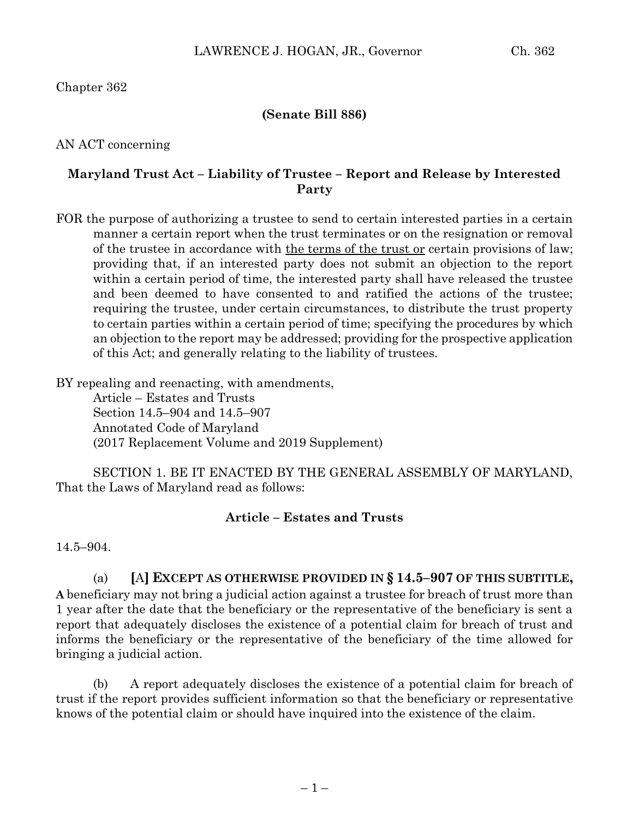Chapter 362

### **(Senate Bill 886)**

AN ACT concerning

### **Maryland Trust Act – Liability of Trustee – Report and Release by Interested Party**

FOR the purpose of authorizing a trustee to send to certain interested parties in a certain manner a certain report when the trust terminates or on the resignation or removal of the trustee in accordance with the terms of the trust or certain provisions of law; providing that, if an interested party does not submit an objection to the report within a certain period of time, the interested party shall have released the trustee and been deemed to have consented to and ratified the actions of the trustee; requiring the trustee, under certain circumstances, to distribute the trust property to certain parties within a certain period of time; specifying the procedures by which an objection to the report may be addressed; providing for the prospective application of this Act; and generally relating to the liability of trustees.

BY repealing and reenacting, with amendments,

Article – Estates and Trusts Section 14.5–904 and 14.5–907 Annotated Code of Maryland (2017 Replacement Volume and 2019 Supplement)

SECTION 1. BE IT ENACTED BY THE GENERAL ASSEMBLY OF MARYLAND, That the Laws of Maryland read as follows:

### **Article – Estates and Trusts**

14.5–904.

# (a) **[**A**] EXCEPT AS OTHERWISE PROVIDED IN § 14.5–907 OF THIS SUBTITLE,**

**A** beneficiary may not bring a judicial action against a trustee for breach of trust more than 1 year after the date that the beneficiary or the representative of the beneficiary is sent a report that adequately discloses the existence of a potential claim for breach of trust and informs the beneficiary or the representative of the beneficiary of the time allowed for bringing a judicial action.

(b) A report adequately discloses the existence of a potential claim for breach of trust if the report provides sufficient information so that the beneficiary or representative knows of the potential claim or should have inquired into the existence of the claim.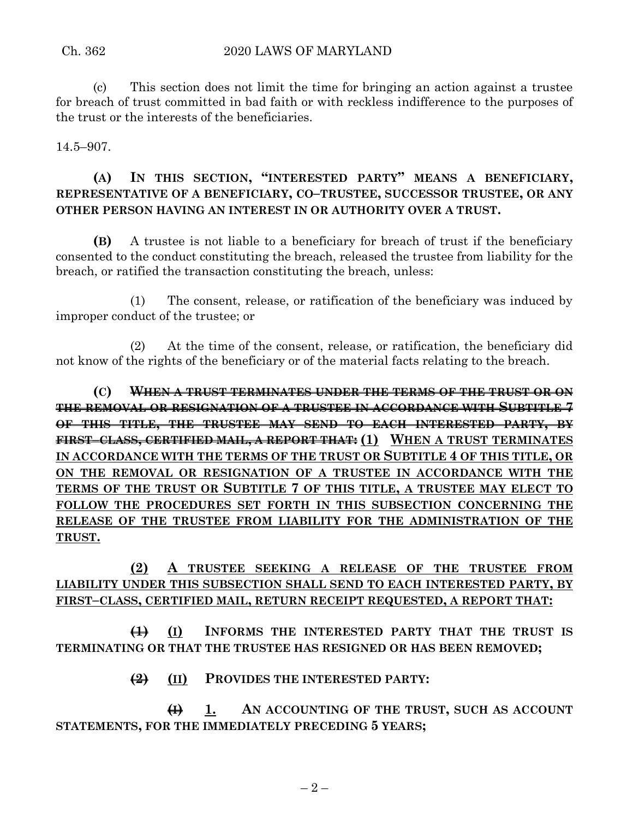(c) This section does not limit the time for bringing an action against a trustee for breach of trust committed in bad faith or with reckless indifference to the purposes of the trust or the interests of the beneficiaries.

14.5–907.

## **(A) IN THIS SECTION, "INTERESTED PARTY" MEANS A BENEFICIARY, REPRESENTATIVE OF A BENEFICIARY, CO–TRUSTEE, SUCCESSOR TRUSTEE, OR ANY OTHER PERSON HAVING AN INTEREST IN OR AUTHORITY OVER A TRUST.**

**(B)** A trustee is not liable to a beneficiary for breach of trust if the beneficiary consented to the conduct constituting the breach, released the trustee from liability for the breach, or ratified the transaction constituting the breach, unless:

(1) The consent, release, or ratification of the beneficiary was induced by improper conduct of the trustee; or

(2) At the time of the consent, release, or ratification, the beneficiary did not know of the rights of the beneficiary or of the material facts relating to the breach.

**(C) WHEN A TRUST TERMINATES UNDER THE TERMS OF THE TRUST OR ON THE REMOVAL OR RESIGNATION OF A TRUSTEE IN ACCORDANCE WITH SUBTITLE 7 OF THIS TITLE, THE TRUSTEE MAY SEND TO EACH INTERESTED PARTY, BY FIRST–CLASS, CERTIFIED MAIL, A REPORT THAT: (1) WHEN A TRUST TERMINATES IN ACCORDANCE WITH THE TERMS OF THE TRUST OR SUBTITLE 4 OF THIS TITLE, OR ON THE REMOVAL OR RESIGNATION OF A TRUSTEE IN ACCORDANCE WITH THE TERMS OF THE TRUST OR SUBTITLE 7 OF THIS TITLE, A TRUSTEE MAY ELECT TO FOLLOW THE PROCEDURES SET FORTH IN THIS SUBSECTION CONCERNING THE RELEASE OF THE TRUSTEE FROM LIABILITY FOR THE ADMINISTRATION OF THE TRUST.**

## **(2) A TRUSTEE SEEKING A RELEASE OF THE TRUSTEE FROM LIABILITY UNDER THIS SUBSECTION SHALL SEND TO EACH INTERESTED PARTY, BY FIRST–CLASS, CERTIFIED MAIL, RETURN RECEIPT REQUESTED, A REPORT THAT:**

**(1) (I) INFORMS THE INTERESTED PARTY THAT THE TRUST IS TERMINATING OR THAT THE TRUSTEE HAS RESIGNED OR HAS BEEN REMOVED;**

**(2) (II) PROVIDES THE INTERESTED PARTY:**

**(I) 1. AN ACCOUNTING OF THE TRUST, SUCH AS ACCOUNT STATEMENTS, FOR THE IMMEDIATELY PRECEDING 5 YEARS;**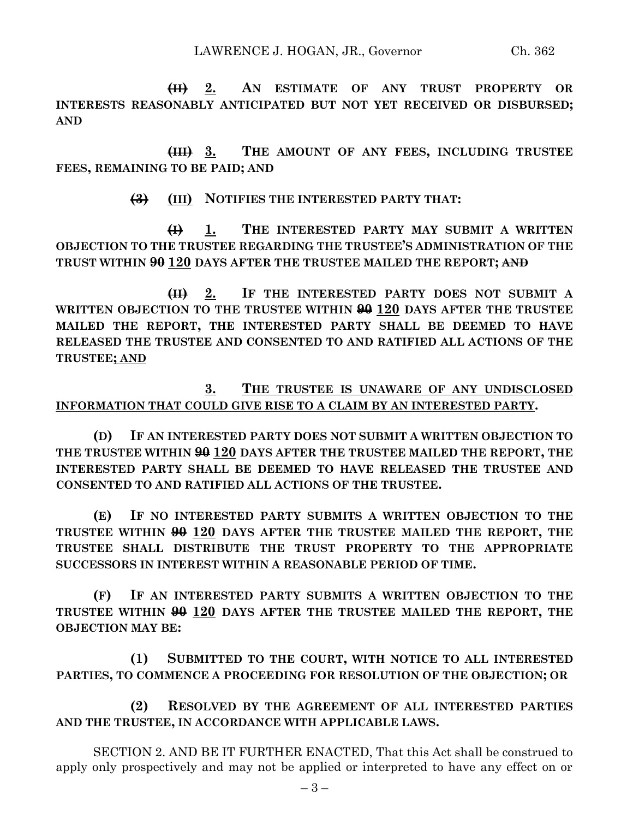**(II) 2. AN ESTIMATE OF ANY TRUST PROPERTY OR INTERESTS REASONABLY ANTICIPATED BUT NOT YET RECEIVED OR DISBURSED; AND**

**(III) 3. THE AMOUNT OF ANY FEES, INCLUDING TRUSTEE FEES, REMAINING TO BE PAID; AND**

**(3) (III) NOTIFIES THE INTERESTED PARTY THAT:**

**(I) 1. THE INTERESTED PARTY MAY SUBMIT A WRITTEN OBJECTION TO THE TRUSTEE REGARDING THE TRUSTEE'S ADMINISTRATION OF THE TRUST WITHIN 90 120 DAYS AFTER THE TRUSTEE MAILED THE REPORT; AND**

**(II) 2. IF THE INTERESTED PARTY DOES NOT SUBMIT A WRITTEN OBJECTION TO THE TRUSTEE WITHIN 90 120 DAYS AFTER THE TRUSTEE MAILED THE REPORT, THE INTERESTED PARTY SHALL BE DEEMED TO HAVE RELEASED THE TRUSTEE AND CONSENTED TO AND RATIFIED ALL ACTIONS OF THE TRUSTEE; AND**

### **3. THE TRUSTEE IS UNAWARE OF ANY UNDISCLOSED INFORMATION THAT COULD GIVE RISE TO A CLAIM BY AN INTERESTED PARTY.**

**(D) IF AN INTERESTED PARTY DOES NOT SUBMIT A WRITTEN OBJECTION TO THE TRUSTEE WITHIN 90 120 DAYS AFTER THE TRUSTEE MAILED THE REPORT, THE INTERESTED PARTY SHALL BE DEEMED TO HAVE RELEASED THE TRUSTEE AND CONSENTED TO AND RATIFIED ALL ACTIONS OF THE TRUSTEE.**

**(E) IF NO INTERESTED PARTY SUBMITS A WRITTEN OBJECTION TO THE TRUSTEE WITHIN 90 120 DAYS AFTER THE TRUSTEE MAILED THE REPORT, THE TRUSTEE SHALL DISTRIBUTE THE TRUST PROPERTY TO THE APPROPRIATE SUCCESSORS IN INTEREST WITHIN A REASONABLE PERIOD OF TIME.**

**(F) IF AN INTERESTED PARTY SUBMITS A WRITTEN OBJECTION TO THE TRUSTEE WITHIN 90 120 DAYS AFTER THE TRUSTEE MAILED THE REPORT, THE OBJECTION MAY BE:**

**(1) SUBMITTED TO THE COURT, WITH NOTICE TO ALL INTERESTED PARTIES, TO COMMENCE A PROCEEDING FOR RESOLUTION OF THE OBJECTION; OR**

**(2) RESOLVED BY THE AGREEMENT OF ALL INTERESTED PARTIES AND THE TRUSTEE, IN ACCORDANCE WITH APPLICABLE LAWS.**

SECTION 2. AND BE IT FURTHER ENACTED, That this Act shall be construed to apply only prospectively and may not be applied or interpreted to have any effect on or